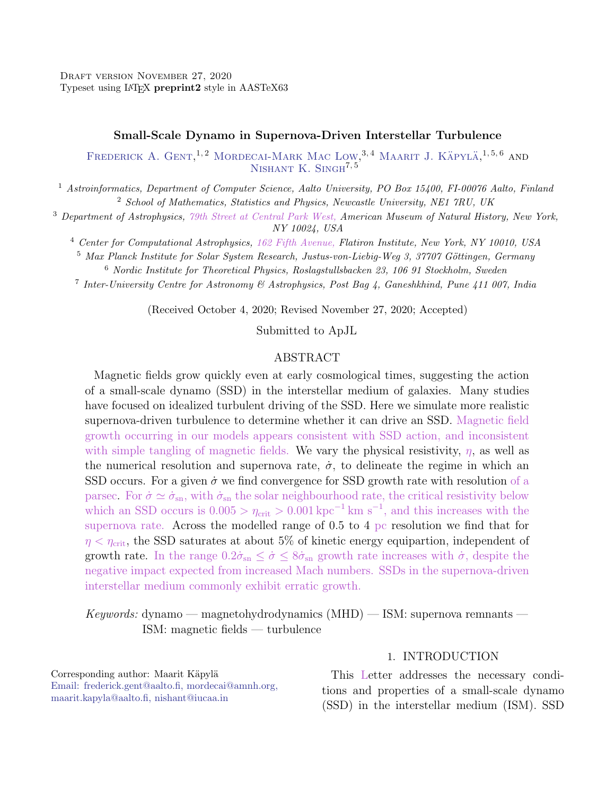### Small-Scale Dynamo in Supernova-Driven Interstellar Turbulence

FREDERICK A. GENT,<sup>1,2</sup> MORDECAI-MARK MAC LOW,<sup>3,4</sup> MAARIT J. KÄPYLÄ,<sup>1,5,6</sup> AND NISHANT K. SINGH<sup>7,5</sup>

<sup>1</sup> Astroinformatics, Department of Computer Science, Aalto University, PO Box 15400, FI-00076 Aalto, Finland <sup>2</sup> School of Mathematics, Statistics and Physics, Newcastle University, NE1 7RU, UK

<sup>3</sup> Department of Astrophysics, 79th Street at Central Park West, American Museum of Natural History, New York, NY 10024, USA

<sup>4</sup> Center for Computational Astrophysics, 162 Fifth Avenue, Flatiron Institute, New York, NY 10010, USA

 $5$  Max Planck Institute for Solar System Research, Justus-von-Liebig-Weg 3, 37707 Göttingen, Germany

<sup>6</sup> Nordic Institute for Theoretical Physics, Roslagstullsbacken 23, 106 91 Stockholm, Sweden

<sup>7</sup> Inter-University Centre for Astronomy & Astrophysics, Post Bag 4, Ganeshkhind, Pune 411 007, India

(Received October 4, 2020; Revised November 27, 2020; Accepted)

Submitted to ApJL

## ABSTRACT

Magnetic fields grow quickly even at early cosmological times, suggesting the action of a small-scale dynamo (SSD) in the interstellar medium of galaxies. Many studies have focused on idealized turbulent driving of the SSD. Here we simulate more realistic supernova-driven turbulence to determine whether it can drive an SSD. Magnetic field growth occurring in our models appears consistent with SSD action, and inconsistent with simple tangling of magnetic fields. We vary the physical resistivity,  $\eta$ , as well as the numerical resolution and supernova rate,  $\dot{\sigma}$ , to delineate the regime in which an SSD occurs. For a given  $\dot{\sigma}$  we find convergence for SSD growth rate with resolution of a parsec. For  $\dot{\sigma} \simeq \dot{\sigma}_{\rm sn}$ , with  $\dot{\sigma}_{\rm sn}$  the solar neighbourhood rate, the critical resistivity below which an SSD occurs is  $0.005 > \eta_{\text{crit}} > 0.001 \text{ kpc}^{-1} \text{ km s}^{-1}$ , and this increases with the supernova rate. Across the modelled range of 0.5 to 4 pc resolution we find that for  $\eta < \eta_{\text{crit}}$ , the SSD saturates at about 5% of kinetic energy equipartion, independent of growth rate. In the range  $0.2\dot{\sigma}_{\rm sn} \leq \dot{\sigma} \leq 8\dot{\sigma}_{\rm sn}$  growth rate increases with  $\dot{\sigma}$ , despite the negative impact expected from increased Mach numbers. SSDs in the supernova-driven interstellar medium commonly exhibit erratic growth.

 $Keywords:$  dynamo — magnetohydrodynamics  $(MHD)$  — ISM: supernova remnants — ISM: magnetic fields — turbulence

Corresponding author: Maarit Käpylä [Email: frederick.gent@aalto.fi, mordecai@amnh.org,](mailto: Email: frederick.gent@aalto.fi, mordecai@amnh.org,\ maarit.kapyla@aalto.fi, nishant@iucaa.in) [maarit.kapyla@aalto.fi, nishant@iucaa.in](mailto: Email: frederick.gent@aalto.fi, mordecai@amnh.org,\ maarit.kapyla@aalto.fi, nishant@iucaa.in)

### 1. INTRODUCTION

This Letter addresses the necessary conditions and properties of a small-scale dynamo (SSD) in the interstellar medium (ISM). SSD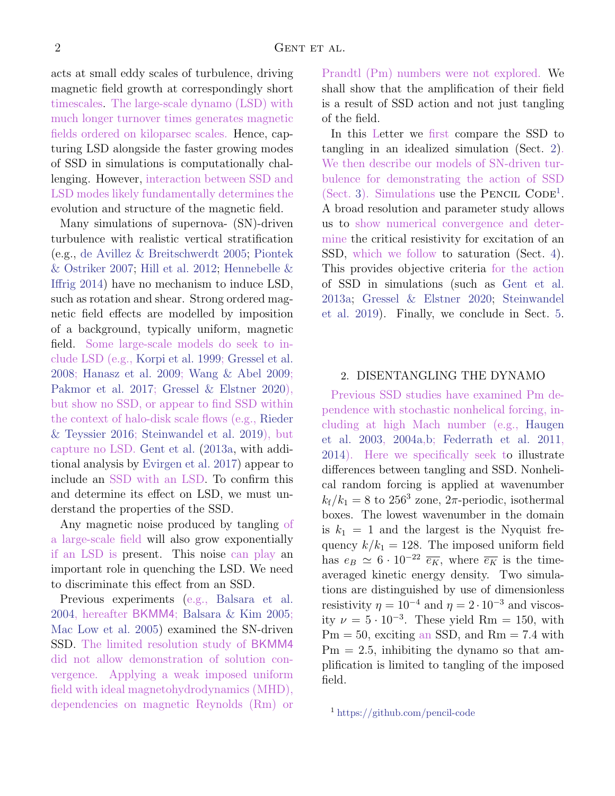acts at small eddy scales of turbulence, driving magnetic field growth at correspondingly short timescales. The large-scale dynamo (LSD) with much longer turnover times generates magnetic fields ordered on kiloparsec scales. Hence, capturing LSD alongside the faster growing modes of SSD in simulations is computationally challenging. However, interaction between SSD and LSD modes likely fundamentally determines the evolution and structure of the magnetic field.

Many simulations of supernova- (SN)-driven turbulence with realistic vertical stratification (e.g., [de Avillez & Breitschwerdt](#page-10-0) [2005;](#page-10-0) [Piontek](#page-10-1) [& Ostriker](#page-10-1) [2007;](#page-10-1) [Hill et al.](#page-10-2) [2012;](#page-10-2) [Hennebelle &](#page-10-3) [Iffrig](#page-10-3) [2014\)](#page-10-3) have no mechanism to induce LSD, such as rotation and shear. Strong ordered magnetic field effects are modelled by imposition of a background, typically uniform, magnetic field. Some large-scale models do seek to include LSD (e.g., [Korpi et al.](#page-10-4) [1999;](#page-10-4) [Gressel et al.](#page-10-5) [2008;](#page-10-5) [Hanasz et al.](#page-10-6) [2009;](#page-10-6) [Wang & Abel](#page-10-7) [2009;](#page-10-7) [Pakmor et al.](#page-10-8) [2017;](#page-10-8) [Gressel & Elstner](#page-10-9) [2020\)](#page-10-9), but show no SSD, or appear to find SSD within the context of halo-disk scale flows (e.g., [Rieder](#page-10-10) [& Teyssier](#page-10-10) [2016;](#page-10-10) [Steinwandel et al.](#page-10-11) [2019\)](#page-10-11), but capture no LSD. [Gent et al.](#page-10-12) [\(2013a,](#page-10-12) with additional analysis by [Evirgen et al.](#page-10-13) [2017\)](#page-10-13) appear to include an SSD with an LSD. To confirm this and determine its effect on LSD, we must understand the properties of the SSD.

Any magnetic noise produced by tangling of a large-scale field will also grow exponentially if an LSD is present. This noise can play an important role in quenching the LSD. We need to discriminate this effect from an SSD.

Previous experiments (e.g., [Balsara et al.](#page-9-0) [2004,](#page-9-0) hereafter BKMM4; [Balsara & Kim](#page-9-1) [2005;](#page-9-1) [Mac Low et al.](#page-10-14) [2005\)](#page-10-14) examined the SN-driven SSD. The limited resolution study of BKMM4 did not allow demonstration of solution convergence. Applying a weak imposed uniform field with ideal magnetohydrodynamics (MHD), dependencies on magnetic Reynolds (Rm) or

Prandtl (Pm) numbers were not explored. We shall show that the amplification of their field is a result of SSD action and not just tangling of the field.

In this Letter we first compare the SSD to tangling in an idealized simulation (Sect. [2\)](#page-1-0). We then describe our models of SN-driven turbulence for demonstrating the action of SSD (Sect. [3\)](#page-2-0). Simulations use the PENCIL CODE<sup>[1](#page-1-1)</sup>. A broad resolution and parameter study allows us to show numerical convergence and determine the critical resistivity for excitation of an SSD, which we follow to saturation (Sect. [4\)](#page-3-0). This provides objective criteria for the action of SSD in simulations (such as [Gent et al.](#page-10-12) [2013a;](#page-10-12) [Gressel & Elstner](#page-10-9) [2020;](#page-10-9) [Steinwandel](#page-10-11) [et al.](#page-10-11) [2019\)](#page-10-11). Finally, we conclude in Sect. [5.](#page-9-2)

# <span id="page-1-0"></span>2. DISENTANGLING THE DYNAMO

Previous SSD studies have examined Pm dependence with stochastic nonhelical forcing, including at high Mach number (e.g., [Haugen](#page-10-15) [et al.](#page-10-15) [2003,](#page-10-15) [2004a,](#page-10-16)[b;](#page-10-17) [Federrath et al.](#page-10-18) [2011,](#page-10-18) [2014\)](#page-10-19). Here we specifically seek to illustrate differences between tangling and SSD. Nonhelical random forcing is applied at wavenumber  $k_f/k_1 = 8$  to 256<sup>3</sup> zone, 2 $\pi$ -periodic, isothermal boxes. The lowest wavenumber in the domain is  $k_1 = 1$  and the largest is the Nyquist frequency  $k/k_1 = 128$ . The imposed uniform field has  $e_B \simeq 6 \cdot 10^{-22} \overline{e_K}$ , where  $\overline{e_K}$  is the timeaveraged kinetic energy density. Two simulations are distinguished by use of dimensionless resistivity  $\eta = 10^{-4}$  and  $\eta = 2 \cdot 10^{-3}$  and viscosity  $\nu = 5 \cdot 10^{-3}$ . These yield Rm = 150, with  $Pm = 50$ , exciting an SSD, and  $Rm = 7.4$  with  $Pm = 2.5$ , inhibiting the dynamo so that amplification is limited to tangling of the imposed field.

<span id="page-1-1"></span><sup>1</sup> <https://github.com/pencil-code>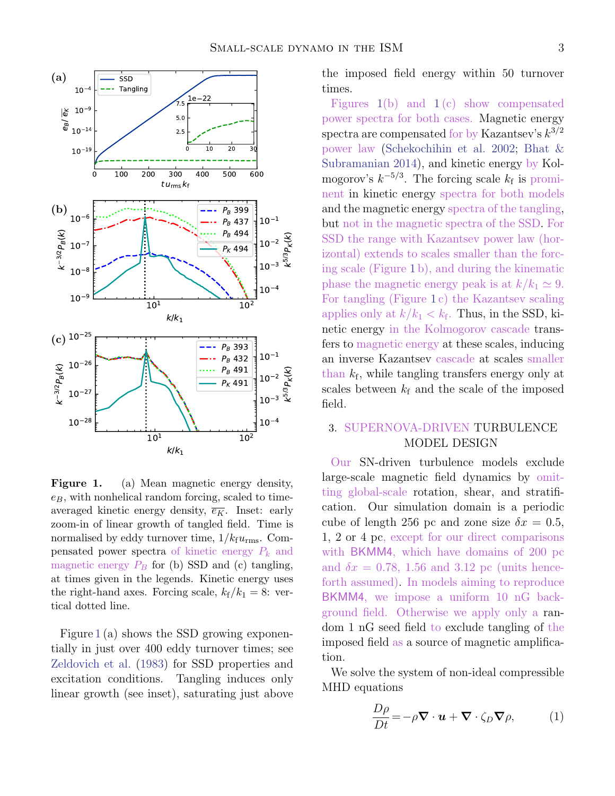

<span id="page-2-1"></span>Figure 1. (a) Mean magnetic energy density,  $e_B$ , with nonhelical random forcing, scaled to timeaveraged kinetic energy density,  $\overline{e_K}$ . Inset: early zoom-in of linear growth of tangled field. Time is normalised by eddy turnover time,  $1/k_f u_{\rm rms}$ . Compensated power spectra of kinetic energy  $P_k$  and magnetic energy  $P_B$  for (b) SSD and (c) tangling, at times given in the legends. Kinetic energy uses the right-hand axes. Forcing scale,  $k_f/k_1 = 8$ : vertical dotted line.

Figure [1](#page-2-1) (a) shows the SSD growing exponentially in just over 400 eddy turnover times; see [Zeldovich et al.](#page-10-20) [\(1983\)](#page-10-20) for SSD properties and excitation conditions. Tangling induces only linear growth (see inset), saturating just above

the imposed field energy within 50 turnover times.

Figures  $1(b)$  $1(b)$  and  $1(c)$  $1(c)$  show compensated power spectra for both cases. Magnetic energy spectra are compensated for by Kazantsev's  $k^{3/2}$ power law [\(Schekochihin et al.](#page-10-21) [2002;](#page-10-21) [Bhat &](#page-9-3) [Subramanian](#page-9-3) [2014\)](#page-9-3), and kinetic energy by Kolmogorov's  $k^{-5/3}$ . The forcing scale  $k_f$  is prominent in kinetic energy spectra for both models and the magnetic energy spectra of the tangling, but not in the magnetic spectra of the SSD. For SSD the range with Kazantsev power law (horizontal) extends to scales smaller than the forcing scale (Figure [1](#page-2-1) b), and during the kinematic phase the magnetic energy peak is at  $k/k_1 \simeq 9$ . For tangling (Figure [1](#page-2-1) c) the Kazantsev scaling applies only at  $k/k_1 < k_f$ . Thus, in the SSD, kinetic energy in the Kolmogorov cascade transfers to magnetic energy at these scales, inducing an inverse Kazantsev cascade at scales smaller than  $k_f$ , while tangling transfers energy only at scales between  $k_f$  and the scale of the imposed field.

# <span id="page-2-0"></span>3. SUPERNOVA-DRIVEN TURBULENCE MODEL DESIGN

Our SN-driven turbulence models exclude large-scale magnetic field dynamics by omitting global-scale rotation, shear, and stratification. Our simulation domain is a periodic cube of length 256 pc and zone size  $\delta x = 0.5$ , 1, 2 or 4 pc, except for our direct comparisons with BKMM4, which have domains of 200 pc and  $\delta x = 0.78, 1.56$  and 3.12 pc (units henceforth assumed). In models aiming to reproduce BKMM4, we impose a uniform 10 nG background field. Otherwise we apply only a random 1 nG seed field to exclude tangling of the imposed field as a source of magnetic amplification.

We solve the system of non-ideal compressible MHD equations

<span id="page-2-2"></span>
$$
\frac{D\rho}{Dt} = -\rho \nabla \cdot \mathbf{u} + \nabla \cdot \zeta_D \nabla \rho, \qquad (1)
$$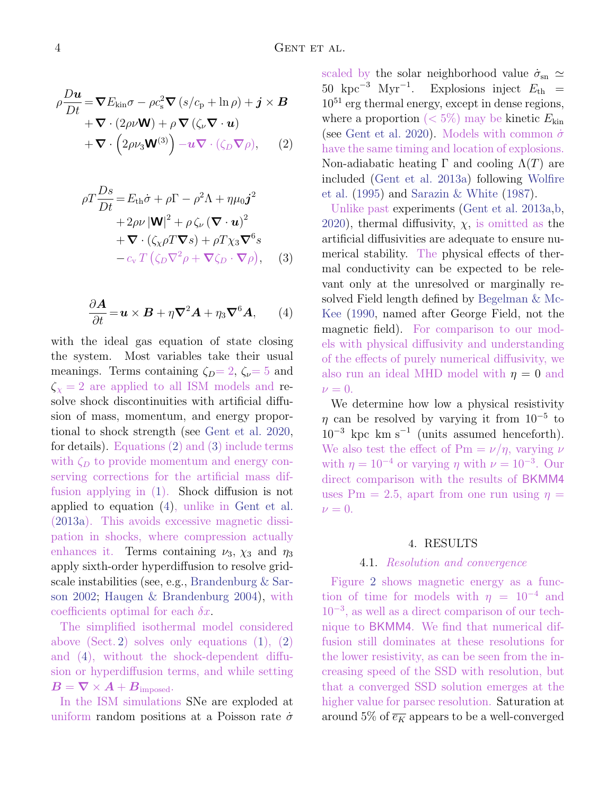<span id="page-3-1"></span>
$$
\rho \frac{D \mathbf{u}}{Dt} = \nabla E_{\text{kin}} \sigma - \rho c_{\text{s}}^2 \nabla (s/c_{\text{p}} + \ln \rho) + \mathbf{j} \times \mathbf{B}
$$
  
+  $\nabla \cdot (2\rho \nu \mathbf{W}) + \rho \nabla (\zeta_{\nu} \nabla \cdot \mathbf{u})$   
+  $\nabla \cdot (2\rho \nu_3 \mathbf{W}^{(3)}) - \mathbf{u} \nabla \cdot (\zeta_D \nabla \rho),$  (2)

<span id="page-3-2"></span>
$$
\rho T \frac{Ds}{Dt} = E_{\text{th}} \dot{\sigma} + \rho \Gamma - \rho^2 \Lambda + \eta \mu_0 \mathbf{j}^2 + 2\rho \nu |\mathbf{W}|^2 + \rho \zeta_{\nu} (\nabla \cdot \mathbf{u})^2 + \nabla \cdot (\zeta_{\chi} \rho T \nabla s) + \rho T \chi_3 \nabla^6 s - c_{\text{v}} T (\zeta_D \nabla^2 \rho + \nabla \zeta_D \cdot \nabla \rho), \quad (3)
$$

<span id="page-3-3"></span>
$$
\frac{\partial \mathbf{A}}{\partial t} = \mathbf{u} \times \mathbf{B} + \eta \nabla^2 \mathbf{A} + \eta_3 \nabla^6 \mathbf{A}, \qquad (4)
$$

with the ideal gas equation of state closing the system. Most variables take their usual meanings. Terms containing  $\zeta_D=2$ ,  $\zeta_v=5$  and  $\zeta_{\chi} = 2$  are applied to all ISM models and resolve shock discontinuities with artificial diffusion of mass, momentum, and energy proportional to shock strength (see [Gent et al.](#page-10-22) [2020,](#page-10-22) for details). Equations [\(2\)](#page-3-1) and [\(3\)](#page-3-2) include terms with  $\zeta_D$  to provide momentum and energy conserving corrections for the artificial mass diffusion applying in [\(1\)](#page-2-2). Shock diffusion is not applied to equation [\(4\)](#page-3-3), unlike in [Gent et al.](#page-10-12) [\(2013a\)](#page-10-12). This avoids excessive magnetic dissipation in shocks, where compression actually enhances it. Terms containing  $\nu_3$ ,  $\chi_3$  and  $\eta_3$ apply sixth-order hyperdiffusion to resolve gridscale instabilities (see, e.g., [Brandenburg & Sar](#page-9-4)[son](#page-9-4) [2002;](#page-9-4) [Haugen & Brandenburg](#page-10-23) [2004\)](#page-10-23), with coefficients optimal for each  $\delta x$ .

The simplified isothermal model considered above (Sect. [2\)](#page-1-0) solves only equations  $(1)$ ,  $(2)$ and [\(4\)](#page-3-3), without the shock-dependent diffusion or hyperdiffusion terms, and while setting  $\boldsymbol{B} = \boldsymbol{\nabla} \times \boldsymbol{A} + \boldsymbol{B}_{\text{imposed}}.$ 

In the ISM simulations SNe are exploded at uniform random positions at a Poisson rate  $\dot{\sigma}$ 

scaled by the solar neighborhood value  $\dot{\sigma}_{\rm sn} \simeq$ 50 kpc<sup>-3</sup> Myr<sup>-1</sup>. Explosions inject  $E_{th}$  =  $10^{51}$  erg thermal energy, except in dense regions, where a proportion  $(< 5\%)$  may be kinetic  $E_{kin}$ (see [Gent et al.](#page-10-22) [2020\)](#page-10-22). Models with common  $\dot{\sigma}$ have the same timing and location of explosions. Non-adiabatic heating Γ and cooling  $Λ(T)$  are included [\(Gent et al.](#page-10-12) [2013a\)](#page-10-12) following [Wolfire](#page-10-24) [et al.](#page-10-24) [\(1995\)](#page-10-24) and [Sarazin & White](#page-10-25) [\(1987\)](#page-10-25).

Unlike past experiments [\(Gent et al.](#page-10-12) [2013a,](#page-10-12)[b,](#page-10-26) [2020\)](#page-10-22), thermal diffusivity,  $\chi$ , is omitted as the artificial diffusivities are adequate to ensure numerical stability. The physical effects of thermal conductivity can be expected to be relevant only at the unresolved or marginally resolved Field length defined by [Begelman & Mc-](#page-9-5)[Kee](#page-9-5) [\(1990,](#page-9-5) named after George Field, not the magnetic field). For comparison to our models with physical diffusivity and understanding of the effects of purely numerical diffusivity, we also run an ideal MHD model with  $\eta = 0$  and  $\nu = 0$ .

We determine how low a physical resistivity  $\eta$  can be resolved by varying it from  $10^{-5}$  to  $10^{-3}$  kpc km s<sup>-1</sup> (units assumed henceforth). We also test the effect of Pm =  $\nu/\eta$ , varying  $\nu$ with  $\eta = 10^{-4}$  or varying  $\eta$  with  $\nu = 10^{-3}$ . Our direct comparison with the results of BKMM4 uses Pm = 2.5, apart from one run using  $\eta =$  $\nu = 0.$ 

#### 4. RESULTS

#### 4.1. Resolution and convergence

<span id="page-3-0"></span>Figure [2](#page-4-0) shows magnetic energy as a function of time for models with  $\eta = 10^{-4}$  and 10<sup>−</sup><sup>3</sup> , as well as a direct comparison of our technique to BKMM4. We find that numerical diffusion still dominates at these resolutions for the lower resistivity, as can be seen from the increasing speed of the SSD with resolution, but that a converged SSD solution emerges at the higher value for parsec resolution. Saturation at around 5% of  $\overline{e_K}$  appears to be a well-converged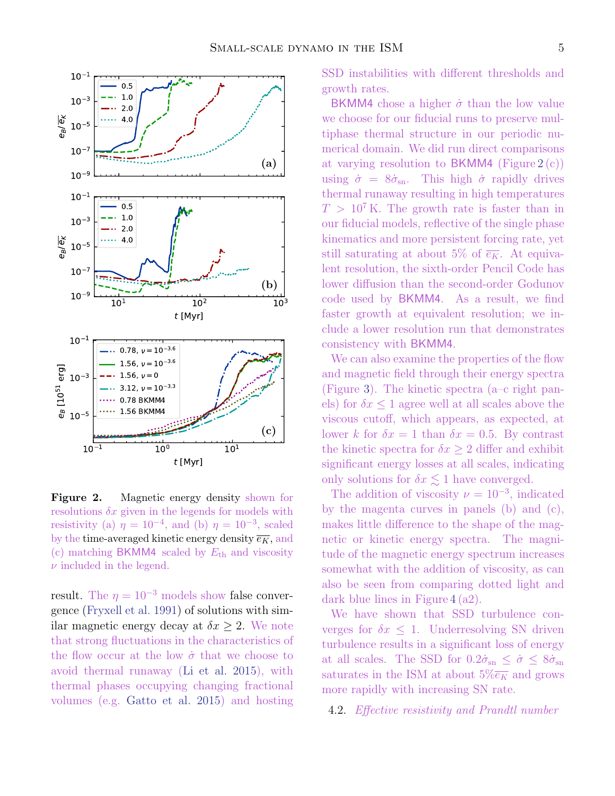

<span id="page-4-0"></span>Figure 2. Magnetic energy density shown for resolutions  $\delta x$  given in the legends for models with resistivity (a)  $\eta = 10^{-4}$ , and (b)  $\eta = 10^{-3}$ , scaled by the time-averaged kinetic energy density  $\overline{e_K}$ , and (c) matching BKMM4 scaled by  $E_{\text{th}}$  and viscosity  $\nu$  included in the legend.

result. The  $\eta = 10^{-3}$  models show false convergence [\(Fryxell et al.](#page-10-27) [1991\)](#page-10-27) of solutions with similar magnetic energy decay at  $\delta x \geq 2$ . We note that strong fluctuations in the characteristics of the flow occur at the low  $\dot{\sigma}$  that we choose to avoid thermal runaway [\(Li et al.](#page-10-28) [2015\)](#page-10-28), with thermal phases occupying changing fractional volumes (e.g. [Gatto et al.](#page-10-29) [2015\)](#page-10-29) and hosting SSD instabilities with different thresholds and growth rates.

BKMM4 chose a higher  $\dot{\sigma}$  than the low value we choose for our fiducial runs to preserve multiphase thermal structure in our periodic numerical domain. We did run direct comparisons at varying resolution to  $BKMM4$  (Figure [2](#page-4-0)(c)) using  $\dot{\sigma} = 8\dot{\sigma}_{\rm sn}$ . This high  $\dot{\sigma}$  rapidly drives thermal runaway resulting in high temperatures  $T > 10<sup>7</sup>$  K. The growth rate is faster than in our fiducial models, reflective of the single phase kinematics and more persistent forcing rate, yet still saturating at about 5% of  $\overline{e_K}$ . At equivalent resolution, the sixth-order Pencil Code has lower diffusion than the second-order Godunov code used by BKMM4. As a result, we find faster growth at equivalent resolution; we include a lower resolution run that demonstrates consistency with BKMM4.

We can also examine the properties of the flow and magnetic field through their energy spectra (Figure [3\)](#page-5-0). The kinetic spectra (a–c right panels) for  $\delta x \leq 1$  agree well at all scales above the viscous cutoff, which appears, as expected, at lower k for  $\delta x = 1$  than  $\delta x = 0.5$ . By contrast the kinetic spectra for  $\delta x \geq 2$  differ and exhibit significant energy losses at all scales, indicating only solutions for  $\delta x \lesssim 1$  have converged.

The addition of viscosity  $\nu = 10^{-3}$ , indicated by the magenta curves in panels (b) and (c), makes little difference to the shape of the magnetic or kinetic energy spectra. The magnitude of the magnetic energy spectrum increases somewhat with the addition of viscosity, as can also be seen from comparing dotted light and dark blue lines in Figure [4](#page-6-0) (a2).

We have shown that SSD turbulence converges for  $\delta x \leq 1$ . Underresolving SN driven turbulence results in a significant loss of energy at all scales. The SSD for  $0.2\dot{\sigma}_{\rm sn} \leq \dot{\sigma} \leq 8\dot{\sigma}_{\rm sn}$ saturates in the ISM at about  $5\%$ <sub> $\overline{e_K}$ </sub> and grows more rapidly with increasing SN rate.

4.2. Effective resistivity and Prandtl number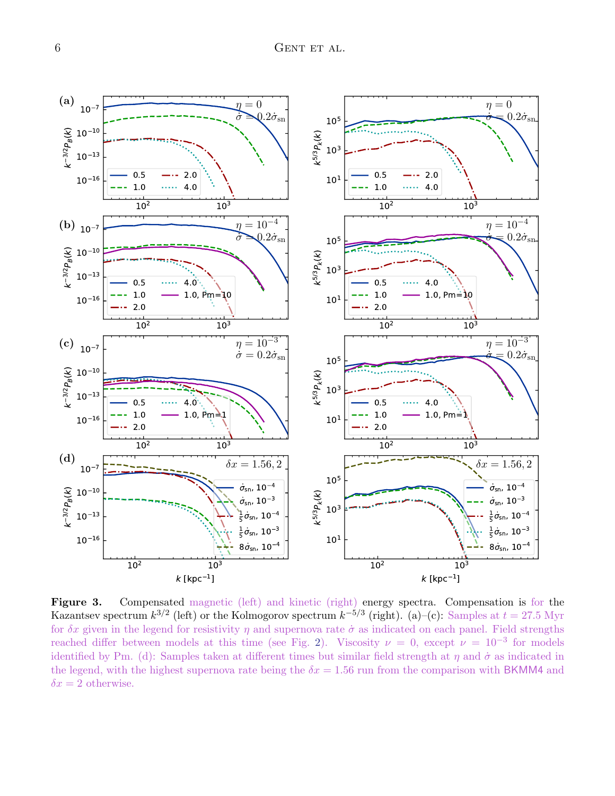

<span id="page-5-0"></span>Figure 3. Compensated magnetic (left) and kinetic (right) energy spectra. Compensation is for the Kazantsev spectrum  $k^{3/2}$  (left) or the Kolmogorov spectrum  $k^{-5/3}$  (right). (a)–(c): Samples at  $t = 27.5$  Myr for  $\delta x$  given in the legend for resistivity  $\eta$  and supernova rate  $\dot{\sigma}$  as indicated on each panel. Field strengths reached differ between models at this time (see Fig. [2\)](#page-4-0). Viscosity  $\nu = 0$ , except  $\nu = 10^{-3}$  for models identified by Pm. (d): Samples taken at different times but similar field strength at  $\eta$  and  $\dot{\sigma}$  as indicated in the legend, with the highest supernova rate being the  $\delta x = 1.56$  run from the comparison with BKMM4 and  $\delta x = 2$  otherwise.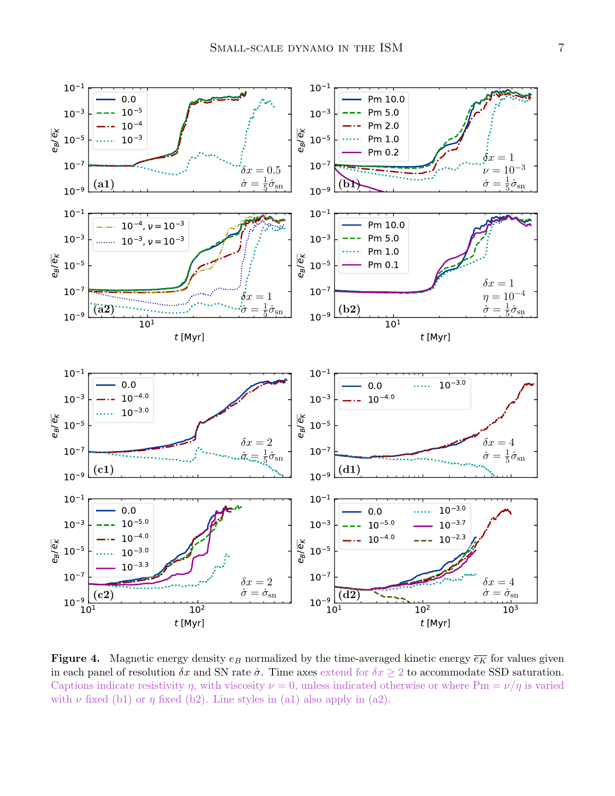

<span id="page-6-0"></span>**Figure 4.** Magnetic energy density  $e_B$  normalized by the time-averaged kinetic energy  $\overline{e_K}$  for values given in each panel of resolution  $\delta x$  and SN rate  $\dot{\sigma}$ . Time axes extend for  $\delta x \geq 2$  to accommodate SSD saturation. Captions indicate resistivity  $\eta$ , with viscosity  $\nu = 0$ , unless indicated otherwise or where Pm =  $\nu/\eta$  is varied with  $\nu$  fixed (b1) or  $\eta$  fixed (b2). Line styles in (a1) also apply in (a2).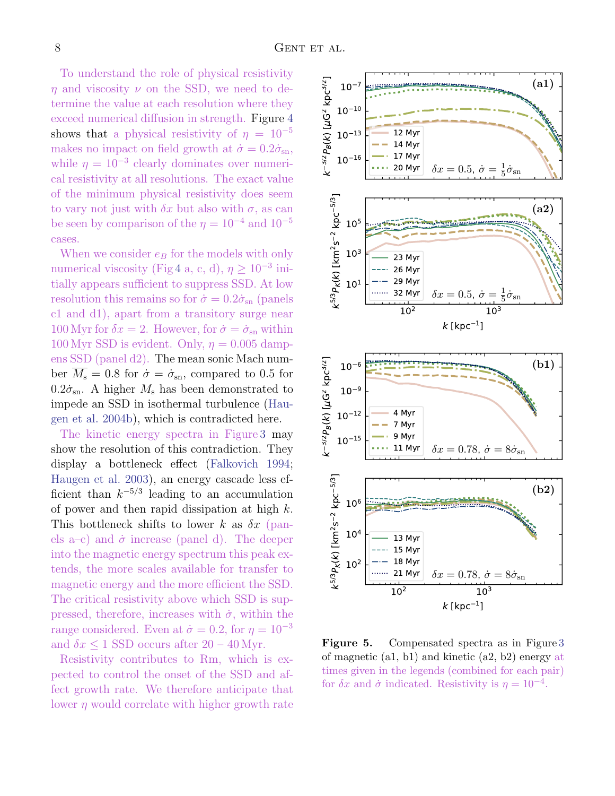To understand the role of physical resistivity  $\eta$  and viscosity  $\nu$  on the SSD, we need to determine the value at each resolution where they exceed numerical diffusion in strength. Figure [4](#page-6-0) shows that a physical resistivity of  $\eta = 10^{-5}$ makes no impact on field growth at  $\dot{\sigma} = 0.2 \dot{\sigma}_{\rm sn}$ , while  $\eta = 10^{-3}$  clearly dominates over numerical resistivity at all resolutions. The exact value of the minimum physical resistivity does seem to vary not just with  $\delta x$  but also with  $\sigma$ , as can be seen by comparison of the  $\eta = 10^{-4}$  and  $10^{-5}$ cases.

When we consider  $e_B$  for the models with only numerical viscosity (Fig [4](#page-6-0) a, c, d),  $\eta \geq 10^{-3}$  initially appears sufficient to suppress SSD. At low resolution this remains so for  $\dot{\sigma} = 0.2 \dot{\sigma}_{\rm sn}$  (panels c1 and d1), apart from a transitory surge near 100 Myr for  $\delta x = 2$ . However, for  $\dot{\sigma} = \dot{\sigma}_{\rm sn}$  within 100 Myr SSD is evident. Only,  $\eta = 0.005$  dampens SSD (panel d2). The mean sonic Mach number  $\overline{M_s} = 0.8$  for  $\dot{\sigma} = \dot{\sigma}_{\rm sn}$ , compared to 0.5 for  $0.2\dot{\sigma}_{\rm sn}$ . A higher  $M_{\rm s}$  has been demonstrated to impede an SSD in isothermal turbulence [\(Hau](#page-10-17)[gen et al.](#page-10-17) [2004b\)](#page-10-17), which is contradicted here.

The kinetic energy spectra in Figure [3](#page-5-0) may show the resolution of this contradiction. They display a bottleneck effect [\(Falkovich](#page-10-30) [1994;](#page-10-30) [Haugen et al.](#page-10-15) [2003\)](#page-10-15), an energy cascade less efficient than  $k^{-5/3}$  leading to an accumulation of power and then rapid dissipation at high  $k$ . This bottleneck shifts to lower k as  $\delta x$  (panels a–c) and  $\dot{\sigma}$  increase (panel d). The deeper into the magnetic energy spectrum this peak extends, the more scales available for transfer to magnetic energy and the more efficient the SSD. The critical resistivity above which SSD is suppressed, therefore, increases with  $\dot{\sigma}$ , within the range considered. Even at  $\dot{\sigma} = 0.2$ , for  $\eta = 10^{-3}$ and  $\delta x \leq 1$  SSD occurs after  $20 - 40$  Myr.

Resistivity contributes to Rm, which is expected to control the onset of the SSD and affect growth rate. We therefore anticipate that lower  $\eta$  would correlate with higher growth rate



<span id="page-7-0"></span>Figure 5. Compensated spectra as in Figure [3](#page-5-0) of magnetic (a1, b1) and kinetic (a2, b2) energy at times given in the legends (combined for each pair) for  $\delta x$  and  $\dot{\sigma}$  indicated. Resistivity is  $\eta = 10^{-4}$ .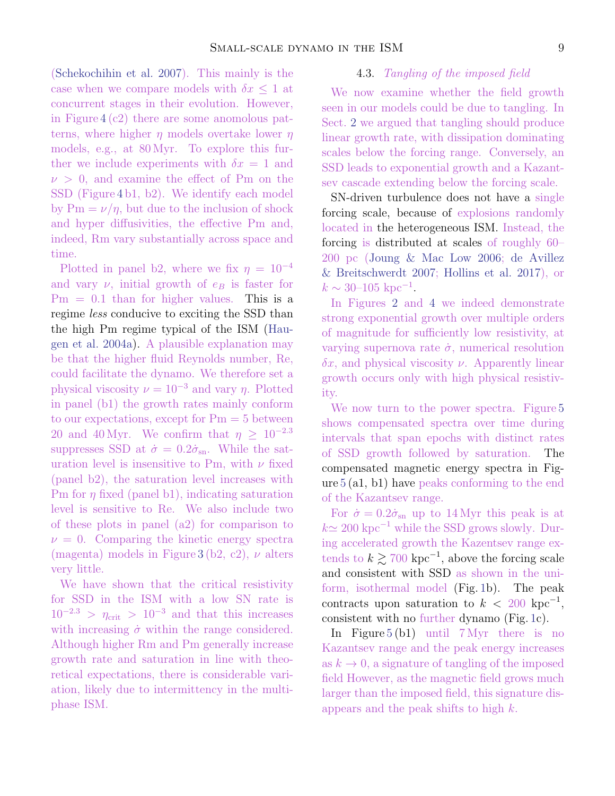4.3. Tangling of the imposed field We now examine whether the field growth seen in our models could be due to tangling. In

Sect. [2](#page-1-0) we argued that tangling should produce linear growth rate, with dissipation dominating scales below the forcing range. Conversely, an SSD leads to exponential growth and a Kazantsev cascade extending below the forcing scale.

SN-driven turbulence does not have a single forcing scale, because of explosions randomly located in the heterogeneous ISM. Instead, the forcing is distributed at scales of roughly 60– 200 pc [\(Joung & Mac Low](#page-10-32) [2006;](#page-10-32) [de Avillez](#page-10-33) [& Breitschwerdt](#page-10-33) [2007;](#page-10-33) [Hollins et al.](#page-10-34) [2017\)](#page-10-34), or  $k \sim 30$ –105 kpc<sup>-1</sup>.

In Figures [2](#page-4-0) and [4](#page-6-0) we indeed demonstrate strong exponential growth over multiple orders of magnitude for sufficiently low resistivity, at varying supernova rate  $\dot{\sigma}$ , numerical resolution  $\delta x$ , and physical viscosity  $\nu$ . Apparently linear growth occurs only with high physical resistivity.

We now turn to the power spectra. Figure [5](#page-7-0) shows compensated spectra over time during intervals that span epochs with distinct rates of SSD growth followed by saturation. The compensated magnetic energy spectra in Figure [5](#page-7-0) (a1, b1) have peaks conforming to the end of the Kazantsev range.

For  $\dot{\sigma} = 0.2 \dot{\sigma}_{\rm sn}$  up to 14 Myr this peak is at  $k \approx 200 \text{ kpc}^{-1}$  while the SSD grows slowly. During accelerated growth the Kazentsev range extends to  $k \gtrsim 700 \text{ kpc}^{-1}$ , above the forcing scale and consistent with SSD as shown in the uniform, isothermal model (Fig. [1b](#page-2-1)). The peak contracts upon saturation to  $k < 200 \text{ kpc}^{-1}$ , consistent with no further dynamo (Fig. [1c](#page-2-1)).

In Figure [5](#page-7-0) (b1) until 7 Myr there is no Kazantsev range and the peak energy increases as  $k \to 0$ , a signature of tangling of the imposed field However, as the magnetic field grows much larger than the imposed field, this signature disappears and the peak shifts to high k.

[\(Schekochihin et al.](#page-10-31) [2007\)](#page-10-31). This mainly is the case when we compare models with  $\delta x \leq 1$  at concurrent stages in their evolution. However, in Figure [4](#page-6-0) (c2) there are some anomolous patterns, where higher  $\eta$  models overtake lower  $\eta$ models, e.g., at 80 Myr. To explore this further we include experiments with  $\delta x = 1$  and  $\nu > 0$ , and examine the effect of Pm on the SSD (Figure [4](#page-6-0) b1, b2). We identify each model by  $Pm = \nu/\eta$ , but due to the inclusion of shock and hyper diffusivities, the effective Pm and, indeed, Rm vary substantially across space and time.

Plotted in panel b2, where we fix  $\eta = 10^{-4}$ and vary  $\nu$ , initial growth of  $e_B$  is faster for  $Pm = 0.1$  than for higher values. This is a regime less conducive to exciting the SSD than the high Pm regime typical of the ISM [\(Hau](#page-10-16)[gen et al.](#page-10-16) [2004a\)](#page-10-16). A plausible explanation may be that the higher fluid Reynolds number, Re, could facilitate the dynamo. We therefore set a physical viscosity  $\nu = 10^{-3}$  and vary  $\eta$ . Plotted in panel (b1) the growth rates mainly conform to our expectations, except for  $Pm = 5$  between 20 and 40 Myr. We confirm that  $\eta \geq 10^{-2.3}$ suppresses SSD at  $\dot{\sigma} = 0.2\dot{\sigma}_{\rm sn}$ . While the saturation level is insensitive to Pm, with  $\nu$  fixed (panel b2), the saturation level increases with Pm for  $\eta$  fixed (panel b1), indicating saturation level is sensitive to Re. We also include two of these plots in panel (a2) for comparison to  $\nu = 0$ . Comparing the kinetic energy spectra (magenta) models in Figure [3](#page-5-0) (b2, c2),  $\nu$  alters very little.

We have shown that the critical resistivity for SSD in the ISM with a low SN rate is  $10^{-2.3}$  >  $\eta_{\text{crit}}$  >  $10^{-3}$  and that this increases with increasing  $\dot{\sigma}$  within the range considered. Although higher Rm and Pm generally increase growth rate and saturation in line with theoretical expectations, there is considerable variation, likely due to intermittency in the multiphase ISM.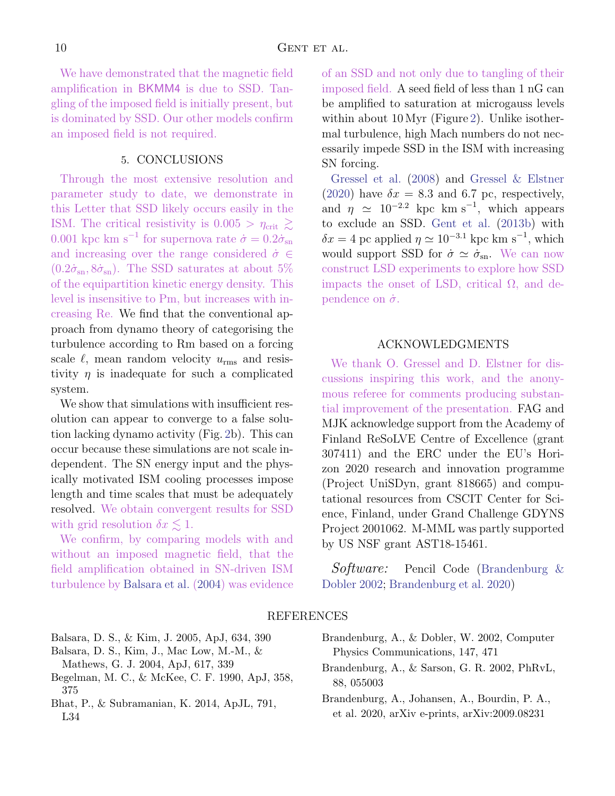We have demonstrated that the magnetic field amplification in BKMM4 is due to SSD. Tangling of the imposed field is initially present, but is dominated by SSD. Our other models confirm an imposed field is not required.

# 5. CONCLUSIONS

<span id="page-9-2"></span>Through the most extensive resolution and parameter study to date, we demonstrate in this Letter that SSD likely occurs easily in the ISM. The critical resistivity is  $0.005 > \eta_{\text{crit}} \geq$ 0.001 kpc km s<sup>-1</sup> for supernova rate  $\dot{\sigma} = 0.2 \dot{\sigma}_{\rm sn}$ and increasing over the range considered  $\dot{\sigma} \in$  $(0.2 \dot{\sigma}_{\rm sn}, 8 \dot{\sigma}_{\rm sn})$ . The SSD saturates at about 5% of the equipartition kinetic energy density. This level is insensitive to Pm, but increases with increasing Re. We find that the conventional approach from dynamo theory of categorising the turbulence according to Rm based on a forcing scale  $\ell$ , mean random velocity  $u_{\rm rms}$  and resistivity  $\eta$  is inadequate for such a complicated system.

We show that simulations with insufficient resolution can appear to converge to a false solution lacking dynamo activity (Fig. [2b](#page-4-0)). This can occur because these simulations are not scale independent. The SN energy input and the physically motivated ISM cooling processes impose length and time scales that must be adequately resolved. We obtain convergent results for SSD with grid resolution  $\delta x \lesssim 1$ .

We confirm, by comparing models with and without an imposed magnetic field, that the field amplification obtained in SN-driven ISM turbulence by [Balsara et al.](#page-9-0) [\(2004\)](#page-9-0) was evidence of an SSD and not only due to tangling of their imposed field. A seed field of less than 1 nG can be amplified to saturation at microgauss levels within about 10 Myr (Figure [2\)](#page-4-0). Unlike isothermal turbulence, high Mach numbers do not necessarily impede SSD in the ISM with increasing SN forcing.

[Gressel et al.](#page-10-5) [\(2008\)](#page-10-5) and [Gressel & Elstner](#page-10-9) [\(2020\)](#page-10-9) have  $\delta x = 8.3$  and 6.7 pc, respectively, and  $\eta \simeq 10^{-2.2}$  kpc km s<sup>-1</sup>, which appears to exclude an SSD. [Gent et al.](#page-10-26) [\(2013b\)](#page-10-26) with  $\delta x = 4$  pc applied  $\eta \simeq 10^{-3.1}$  kpc km s<sup>-1</sup>, which would support SSD for  $\dot{\sigma} \simeq \dot{\sigma}_{\rm sn}$ . We can now construct LSD experiments to explore how SSD impacts the onset of LSD, critical Ω, and dependence on  $\dot{\sigma}$ .

### ACKNOWLEDGMENTS

We thank O. Gressel and D. Elstner for discussions inspiring this work, and the anonymous referee for comments producing substantial improvement of the presentation. FAG and MJK acknowledge support from the Academy of Finland ReSoLVE Centre of Excellence (grant 307411) and the ERC under the EU's Horizon 2020 research and innovation programme (Project UniSDyn, grant 818665) and computational resources from CSCIT Center for Science, Finland, under Grand Challenge GDYNS Project 2001062. M-MML was partly supported by US NSF grant AST18-15461.

Software: Pencil Code [\(Brandenburg &](#page-9-6) [Dobler](#page-9-6) [2002;](#page-9-6) [Brandenburg et al.](#page-9-7) [2020\)](#page-9-7)

## REFERENCES

- <span id="page-9-1"></span>Balsara, D. S., & Kim, J. 2005, ApJ, 634, 390
- <span id="page-9-0"></span>Balsara, D. S., Kim, J., Mac Low, M.-M., &
- Mathews, G. J. 2004, ApJ, 617, 339
- <span id="page-9-5"></span>Begelman, M. C., & McKee, C. F. 1990, ApJ, 358, 375
- <span id="page-9-3"></span>Bhat, P., & Subramanian, K. 2014, ApJL, 791, L34
- <span id="page-9-6"></span>Brandenburg, A., & Dobler, W. 2002, Computer Physics Communications, 147, 471
- <span id="page-9-4"></span>Brandenburg, A., & Sarson, G. R. 2002, PhRvL, 88, 055003
- <span id="page-9-7"></span>Brandenburg, A., Johansen, A., Bourdin, P. A., et al. 2020, arXiv e-prints, arXiv:2009.08231